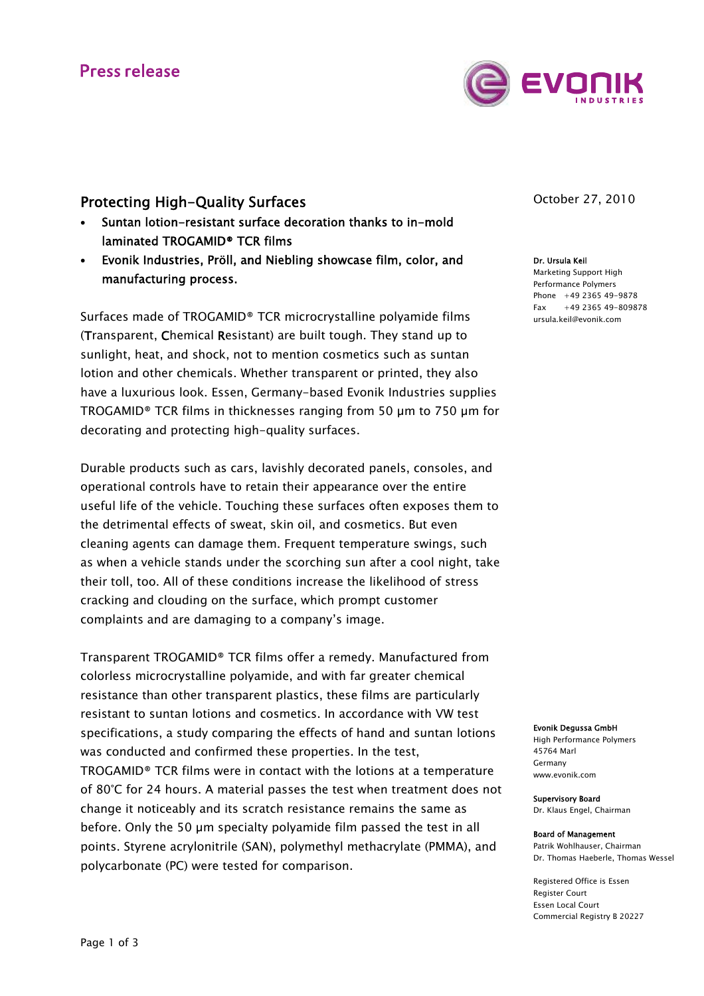## **Press release**



## Protecting High-Quality Surfaces

- Suntan lotion-resistant surface decoration thanks to in-mold laminated TROGAMID® TCR films
- Evonik Industries, Pröll, and Niebling showcase film, color, and manufacturing process.

Surfaces made of TROGAMID® TCR microcrystalline polyamide films (Transparent, Chemical Resistant) are built tough. They stand up to sunlight, heat, and shock, not to mention cosmetics such as suntan lotion and other chemicals. Whether transparent or printed, they also have a luxurious look. Essen, Germany-based Evonik Industries supplies TROGAMID® TCR films in thicknesses ranging from 50 µm to 750 µm for decorating and protecting high-quality surfaces.

Durable products such as cars, lavishly decorated panels, consoles, and operational controls have to retain their appearance over the entire useful life of the vehicle. Touching these surfaces often exposes them to the detrimental effects of sweat, skin oil, and cosmetics. But even cleaning agents can damage them. Frequent temperature swings, such as when a vehicle stands under the scorching sun after a cool night, take their toll, too. All of these conditions increase the likelihood of stress cracking and clouding on the surface, which prompt customer complaints and are damaging to a company's image.

Transparent TROGAMID® TCR films offer a remedy. Manufactured from colorless microcrystalline polyamide, and with far greater chemical resistance than other transparent plastics, these films are particularly resistant to suntan lotions and cosmetics. In accordance with VW test specifications, a study comparing the effects of hand and suntan lotions was conducted and confirmed these properties. In the test, TROGAMID® TCR films were in contact with the lotions at a temperature of 80°C for 24 hours. A material passes the test when treatment does not change it noticeably and its scratch resistance remains the same as before. Only the 50 µm specialty polyamide film passed the test in all points. Styrene acrylonitrile (SAN), polymethyl methacrylate (PMMA), and polycarbonate (PC) were tested for comparison.

October 27, 2010

Dr. Ursula Keil Marketing Support High Performance Polymers Phone +49 2365 49-9878  $Fax +49$  2365 49-809878 ursula.keil@evonik.com

Evonik Degussa GmbH

High Performance Polymers 45764 Marl Germany www.evonik.com

Supervisory Board Dr. Klaus Engel, Chairman

Board of Management Patrik Wohlhauser, Chairman Dr. Thomas Haeberle, Thomas Wessel

Registered Office is Essen Register Court Essen Local Court Commercial Registry B 20227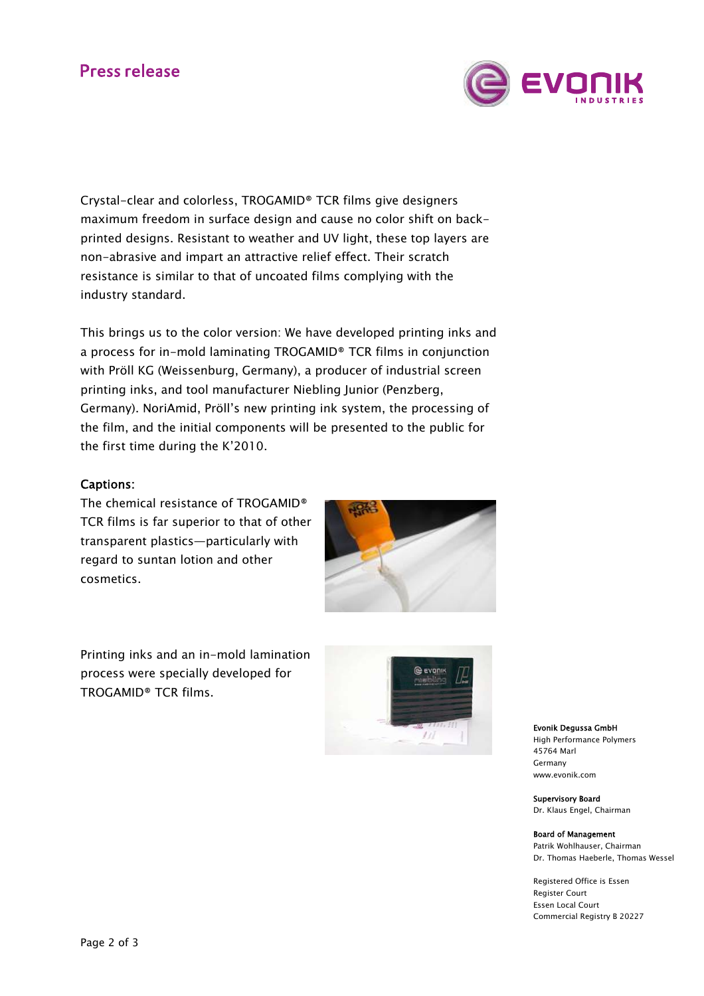# **Press release**



Crystal-clear and colorless, TROGAMID® TCR films give designers maximum freedom in surface design and cause no color shift on backprinted designs. Resistant to weather and UV light, these top layers are non-abrasive and impart an attractive relief effect. Their scratch resistance is similar to that of uncoated films complying with the industry standard.

This brings us to the color version: We have developed printing inks and a process for in-mold laminating TROGAMID® TCR films in conjunction with Pröll KG (Weissenburg, Germany), a producer of industrial screen printing inks, and tool manufacturer Niebling Junior (Penzberg, Germany). NoriAmid, Pröll's new printing ink system, the processing of the film, and the initial components will be presented to the public for the first time during the K'2010.

## Captions:

The chemical resistance of TROGAMID® TCR films is far superior to that of other transparent plastics—particularly with regard to suntan lotion and other cosmetics.



Printing inks and an in-mold lamination process were specially developed for TROGAMID® TCR films.



Evonik Degussa GmbH High Performance Polymers 45764 Marl Germany www.evonik.com

Supervisory Board Dr. Klaus Engel, Chairman

Board of Management Patrik Wohlhauser, Chairman Dr. Thomas Haeberle, Thomas Wessel

Registered Office is Essen Register Court Essen Local Court Commercial Registry B 20227